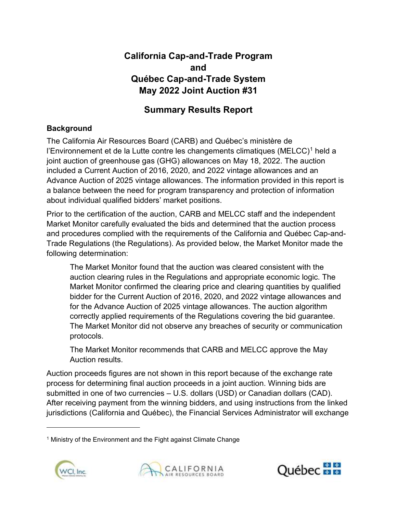# California Cap-and-Trade Program Québec Cap-and-Trade System May 2022 Joint Auction #31 and

# Summary Results Report

# **Background**

 The California Air Resources Board (CARB) and Québec's ministère de l'Environnement et de la Lutte contre les changements climatiques (MELCC)<sup>1</sup> held a joint auction of greenhouse gas (GHG) allowances on May 18, 2022. The auction included a Current Auction of 2016, 2020, and 2022 vintage allowances and an Advance Auction of 2025 vintage allowances. The information provided in this report is a balance between the need for program transparency and protection of information about individual qualified bidders' market positions.

 Prior to the certification of the auction, CARB and MELCC staff and the independent Market Monitor carefully evaluated the bids and determined that the auction process and procedures complied with the requirements of the California and Québec Cap-and- Trade Regulations (the Regulations). As provided below, the Market Monitor made the following determination:

 The Market Monitor found that the auction was cleared consistent with the auction clearing rules in the Regulations and appropriate economic logic. The Market Monitor confirmed the clearing price and clearing quantities by qualified bidder for the Current Auction of 2016, 2020, and 2022 vintage allowances and for the Advance Auction of 2025 vintage allowances. The auction algorithm correctly applied requirements of the Regulations covering the bid guarantee. The Market Monitor did not observe any breaches of security or communication protocols.

 The Market Monitor recommends that CARB and MELCC approve the May Auction results.

 Auction proceeds figures are not shown in this report because of the exchange rate process for determining final auction proceeds in a joint auction. Winning bids are submitted in one of two currencies – U.S. dollars (USD) or Canadian dollars (CAD). After receiving payment from the winning bidders, and using instructions from the linked jurisdictions (California and Québec), the Financial Services Administrator will exchange

<sup>&</sup>lt;sup>1</sup> Ministry of the Environment and the Fight against Climate Change





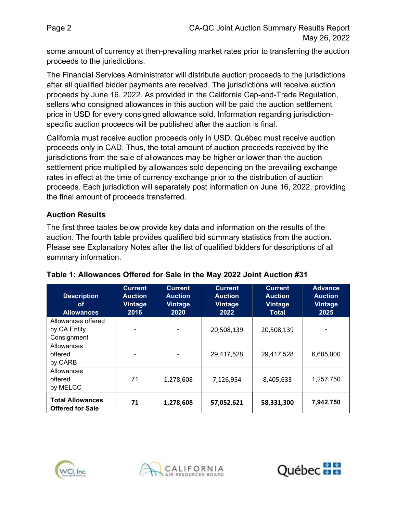some amount of currency at then-prevailing market rates prior to transferring the auction proceeds to the jurisdictions.

 The Financial Services Administrator will distribute auction proceeds to the jurisdictions after all qualified bidder payments are received. The jurisdictions will receive auction proceeds by June 16, 2022. As provided in the California Cap-and-Trade Regulation, sellers who consigned allowances in this auction will be paid the auction settlement price in USD for every consigned allowance sold. Information regarding jurisdiction-specific auction proceeds will be published after the auction is final.

 California must receive auction proceeds only in USD. Québec must receive auction proceeds only in CAD. Thus, the total amount of auction proceeds received by the jurisdictions from the sale of allowances may be higher or lower than the auction settlement price multiplied by allowances sold depending on the prevailing exchange rates in effect at the time of currency exchange prior to the distribution of auction proceeds. Each jurisdiction will separately post information on June 16, 2022, providing the final amount of proceeds transferred.

## Auction Results

 The first three tables below provide key data and information on the results of the auction. The fourth table provides qualified bid summary statistics from the auction. Please see Explanatory Notes after the list of qualified bidders for descriptions of all summary information.

| <b>Description</b><br>οf<br><b>Allowances</b>      | <b>Current</b><br><b>Auction</b><br><b>Vintage</b><br>2016 | <b>Current</b><br><b>Auction</b><br><b>Vintage</b><br>2020 | <b>Current</b><br><b>Auction</b><br><b>Vintage</b><br>2022 | <b>Current</b><br><b>Auction</b><br><b>Vintage</b><br><b>Total</b> | <b>Advance</b><br><b>Auction</b><br><b>Vintage</b><br>2025 |
|----------------------------------------------------|------------------------------------------------------------|------------------------------------------------------------|------------------------------------------------------------|--------------------------------------------------------------------|------------------------------------------------------------|
| Allowances offered<br>by CA Entity<br>Consignment  |                                                            | $\blacksquare$                                             | 20,508,139                                                 | 20,508,139                                                         |                                                            |
| Allowances<br>offered<br>by CARB                   |                                                            | $\blacksquare$                                             | 29,417,528                                                 | 29,417,528                                                         | 6,685,000                                                  |
| Allowances<br>offered<br>by MELCC                  | 71                                                         | 1,278,608                                                  | 7,126,954                                                  | 8,405,633                                                          | 1,257,750                                                  |
| <b>Total Allowances</b><br><b>Offered for Sale</b> | 71                                                         | 1,278,608                                                  | 57,052,621                                                 | 58,331,300                                                         | 7,942,750                                                  |

### Table 1: Allowances Offered for Sale in the May 2022 Joint Auction #31





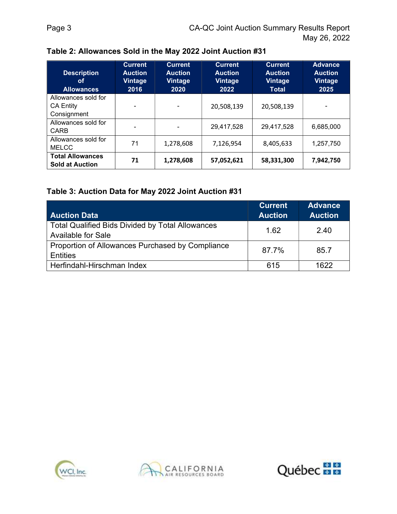| <b>Description</b><br>οf<br><b>Allowances</b>          | <b>Current</b><br><b>Auction</b><br><b>Vintage</b><br>2016 | <b>Current</b><br><b>Auction</b><br>Vintage<br>2020 | <b>Current</b><br><b>Auction</b><br>Vintage<br>2022 | <b>Current</b><br><b>Auction</b><br><b>Vintage</b><br><b>Total</b> | <b>Advance</b><br><b>Auction</b><br><b>Vintage</b><br>2025 |
|--------------------------------------------------------|------------------------------------------------------------|-----------------------------------------------------|-----------------------------------------------------|--------------------------------------------------------------------|------------------------------------------------------------|
| Allowances sold for<br><b>CA Entity</b><br>Consignment |                                                            | ۰                                                   | 20,508,139                                          | 20,508,139                                                         |                                                            |
| Allowances sold for<br>CARB                            |                                                            | ۰                                                   | 29,417,528                                          | 29,417,528                                                         | 6,685,000                                                  |
| Allowances sold for<br><b>MELCC</b>                    | 71                                                         | 1,278,608                                           | 7,126,954                                           | 8,405,633                                                          | 1,257,750                                                  |
| <b>Total Allowances</b><br><b>Sold at Auction</b>      | 71                                                         | 1,278,608                                           | 57,052,621                                          | 58,331,300                                                         | 7,942,750                                                  |

Table 2: Allowances Sold in the May 2022 Joint Auction #31

### Table 3: Auction Data for May 2022 Joint Auction #31

|                                                         | <b>Current</b> | <b>Advance</b> |
|---------------------------------------------------------|----------------|----------------|
| <b>Auction Data</b>                                     | <b>Auction</b> | <b>Auction</b> |
| <b>Total Qualified Bids Divided by Total Allowances</b> | 1.62           | 2.40           |
| <b>Available for Sale</b>                               |                |                |
| Proportion of Allowances Purchased by Compliance        | 87.7%          | 85.7           |
| Entities                                                |                |                |
| Herfindahl-Hirschman Index                              | 615            | 1622           |





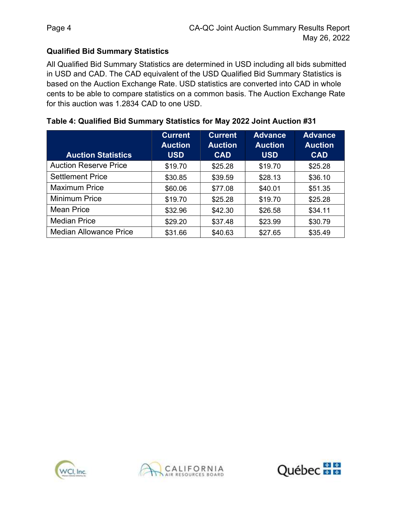## Qualified Bid Summary Statistics

 All Qualified Bid Summary Statistics are determined in USD including all bids submitted in USD and CAD. The CAD equivalent of the USD Qualified Bid Summary Statistics is based on the Auction Exchange Rate. USD statistics are converted into CAD in whole cents to be able to compare statistics on a common basis. The Auction Exchange Rate for this auction was 1.2834 CAD to one USD.

| <b>Auction Statistics</b>     | <b>Current</b><br><b>Auction</b><br><b>USD</b> | <b>Current</b><br><b>Auction</b><br><b>CAD</b> | <b>Advance</b><br><b>Auction</b><br><b>USD</b> | <b>Advance</b><br><b>Auction</b><br><b>CAD</b> |
|-------------------------------|------------------------------------------------|------------------------------------------------|------------------------------------------------|------------------------------------------------|
| <b>Auction Reserve Price</b>  | \$19.70                                        | \$25.28                                        | \$19.70                                        | \$25.28                                        |
| <b>Settlement Price</b>       | \$30.85                                        | \$39.59                                        | \$28.13                                        | \$36.10                                        |
| <b>Maximum Price</b>          | \$60.06                                        | \$77.08                                        | \$40.01                                        | \$51.35                                        |
| <b>Minimum Price</b>          | \$19.70                                        | \$25.28                                        | \$19.70                                        | \$25.28                                        |
| <b>Mean Price</b>             | \$32.96                                        | \$42.30                                        | \$26.58                                        | \$34.11                                        |
| <b>Median Price</b>           | \$29.20                                        | \$37.48                                        | \$23.99                                        | \$30.79                                        |
| <b>Median Allowance Price</b> | \$31.66                                        | \$40.63                                        | \$27.65                                        | \$35.49                                        |

## Table 4: Qualified Bid Summary Statistics for May 2022 Joint Auction #31





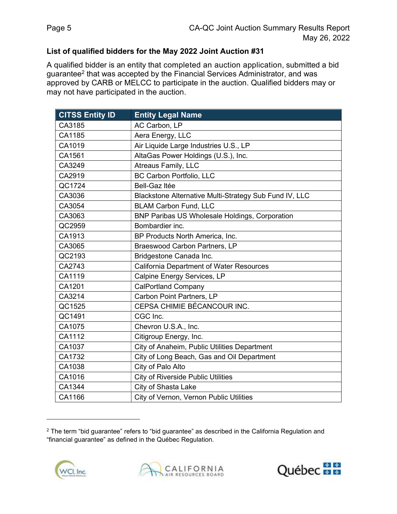### List of qualified bidders for the May 2022 Joint Auction #31

 A qualified bidder is an entity that completed an auction application, submitted a bid guarantee $^2$  that was accepted by the Financial Services Administrator, and was approved by CARB or MELCC to participate in the auction. Qualified bidders may or may not have participated in the auction.

| <b>CITSS Entity ID</b> | <b>Entity Legal Name</b>                               |
|------------------------|--------------------------------------------------------|
| CA3185                 | AC Carbon, LP                                          |
| CA1185                 | Aera Energy, LLC                                       |
| CA1019                 | Air Liquide Large Industries U.S., LP                  |
| CA1561                 | AltaGas Power Holdings (U.S.), Inc.                    |
| CA3249                 | <b>Atreaus Family, LLC</b>                             |
| CA2919                 | <b>BC Carbon Portfolio, LLC</b>                        |
| QC1724                 | <b>Bell-Gaz Itée</b>                                   |
| CA3036                 | Blackstone Alternative Multi-Strategy Sub Fund IV, LLC |
| CA3054                 | <b>BLAM Carbon Fund, LLC</b>                           |
| CA3063                 | <b>BNP Paribas US Wholesale Holdings, Corporation</b>  |
| QC2959                 | Bombardier inc.                                        |
| CA1913                 | BP Products North America, Inc.                        |
| CA3065                 | Braeswood Carbon Partners, LP                          |
| QC2193                 | Bridgestone Canada Inc.                                |
| CA2743                 | <b>California Department of Water Resources</b>        |
| CA1119                 | Calpine Energy Services, LP                            |
| CA1201                 | <b>CalPortland Company</b>                             |
| CA3214                 | Carbon Point Partners, LP                              |
| QC1525                 | CEPSA CHIMIE BÉCANCOUR INC.                            |
| QC1491                 | CGC Inc.                                               |
| CA1075                 | Chevron U.S.A., Inc.                                   |
| CA1112                 | Citigroup Energy, Inc.                                 |
| CA1037                 | City of Anaheim, Public Utilities Department           |
| CA1732                 | City of Long Beach, Gas and Oil Department             |
| CA1038                 | City of Palo Alto                                      |
| CA1016                 | <b>City of Riverside Public Utilities</b>              |
| CA1344                 | City of Shasta Lake                                    |
| CA1166                 | City of Vernon, Vernon Public Utilities                |

 $^{\rm 2}$  The term "bid guarantee" refers to "bid guarantee" as described in the California Regulation and "financial guarantee" as defined in the Québec Regulation.





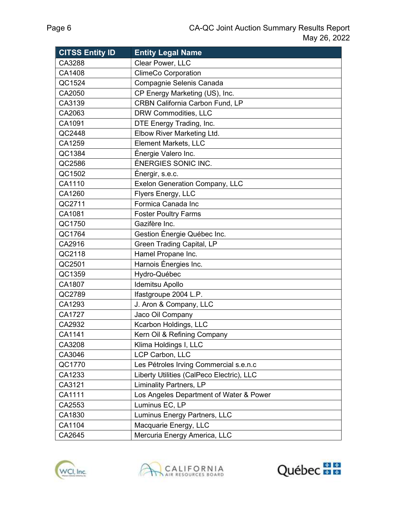| <b>CITSS Entity ID</b> | <b>Entity Legal Name</b>                  |
|------------------------|-------------------------------------------|
| CA3288                 | Clear Power, LLC                          |
| CA1408                 | <b>ClimeCo Corporation</b>                |
| QC1524                 | Compagnie Selenis Canada                  |
| CA2050                 | CP Energy Marketing (US), Inc.            |
| CA3139                 | <b>CRBN California Carbon Fund, LP</b>    |
| CA2063                 | DRW Commodities, LLC                      |
| CA1091                 | DTE Energy Trading, Inc.                  |
| QC2448                 | Elbow River Marketing Ltd.                |
| CA1259                 | <b>Element Markets, LLC</b>               |
| QC1384                 | Énergie Valero Inc.                       |
| QC2586                 | ÉNERGIES SONIC INC.                       |
| QC1502                 | Énergir, s.e.c.                           |
| CA1110                 | <b>Exelon Generation Company, LLC</b>     |
| CA1260                 | Flyers Energy, LLC                        |
| QC2711                 | Formica Canada Inc                        |
| CA1081                 | <b>Foster Poultry Farms</b>               |
| QC1750                 | Gazifère Inc.                             |
| QC1764                 | Gestion Énergie Québec Inc.               |
| CA2916                 | <b>Green Trading Capital, LP</b>          |
| QC2118                 | Hamel Propane Inc.                        |
| QC2501                 | Harnois Énergies Inc.                     |
| QC1359                 | Hydro-Québec                              |
| CA1807                 | <b>Idemitsu Apollo</b>                    |
| QC2789                 | Ifastgroupe 2004 L.P.                     |
| CA1293                 | J. Aron & Company, LLC                    |
| <b>CA1727</b>          | Jaco Oil Company                          |
| CA2932                 | Kcarbon Holdings, LLC                     |
| CA1141                 | Kern Oil & Refining Company               |
| CA3208                 | Klima Holdings I, LLC                     |
| CA3046                 | LCP Carbon, LLC                           |
| QC1770                 | Les Pétroles Irving Commercial s.e.n.c    |
| CA1233                 | Liberty Utilities (CalPeco Electric), LLC |
| CA3121                 | <b>Liminality Partners, LP</b>            |
| CA1111                 | Los Angeles Department of Water & Power   |
| CA2553                 | Luminus EC, LP                            |
| CA1830                 | Luminus Energy Partners, LLC              |
| CA1104                 | Macquarie Energy, LLC                     |
| CA2645                 | Mercuria Energy America, LLC              |





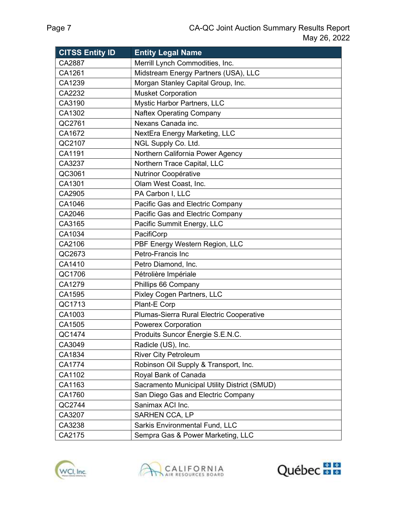| <b>CITSS Entity ID</b> | <b>Entity Legal Name</b>                     |
|------------------------|----------------------------------------------|
| CA2887                 | Merrill Lynch Commodities, Inc.              |
| CA1261                 | Midstream Energy Partners (USA), LLC         |
| CA1239                 | Morgan Stanley Capital Group, Inc.           |
| CA2232                 | <b>Musket Corporation</b>                    |
| CA3190                 | Mystic Harbor Partners, LLC                  |
| CA1302                 | <b>Naftex Operating Company</b>              |
| QC2761                 | Nexans Canada inc.                           |
| CA1672                 | NextEra Energy Marketing, LLC                |
| QC2107                 | NGL Supply Co. Ltd.                          |
| CA1191                 | Northern California Power Agency             |
| CA3237                 | Northern Trace Capital, LLC                  |
| QC3061                 | Nutrinor Coopérative                         |
| CA1301                 | Olam West Coast, Inc.                        |
| CA2905                 | PA Carbon I, LLC                             |
| CA1046                 | Pacific Gas and Electric Company             |
| CA2046                 | Pacific Gas and Electric Company             |
| CA3165                 | Pacific Summit Energy, LLC                   |
| CA1034                 | PacifiCorp                                   |
| CA2106                 | PBF Energy Western Region, LLC               |
| QC2673                 | Petro-Francis Inc                            |
| CA1410                 | Petro Diamond, Inc.                          |
| QC1706                 | Pétrolière Impériale                         |
| CA1279                 | Phillips 66 Company                          |
| CA1595                 | <b>Pixley Cogen Partners, LLC</b>            |
| QC1713                 | Plant-E Corp                                 |
| CA1003                 | Plumas-Sierra Rural Electric Cooperative     |
| CA1505                 | <b>Powerex Corporation</b>                   |
| QC1474                 | Produits Suncor Énergie S.E.N.C.             |
| CA3049                 | Radicle (US), Inc.                           |
| CA1834                 | <b>River City Petroleum</b>                  |
| CA1774                 | Robinson Oil Supply & Transport, Inc.        |
| CA1102                 | Royal Bank of Canada                         |
| CA1163                 | Sacramento Municipal Utility District (SMUD) |
| CA1760                 | San Diego Gas and Electric Company           |
| QC2744                 | Sanimax ACI Inc.                             |
| CA3207                 | SARHEN CCA, LP                               |
| CA3238                 | <b>Sarkis Environmental Fund, LLC</b>        |
| CA2175                 | Sempra Gas & Power Marketing, LLC            |





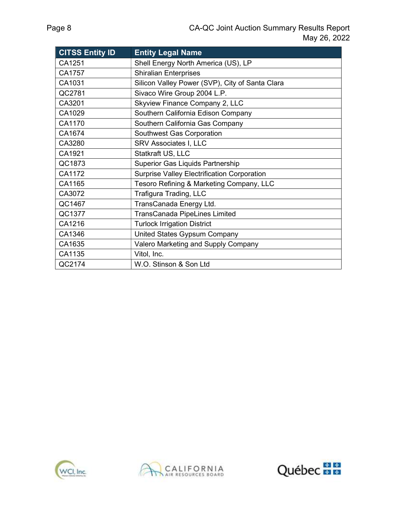| <b>CITSS Entity ID</b> | <b>Entity Legal Name</b>                           |
|------------------------|----------------------------------------------------|
| CA1251                 | Shell Energy North America (US), LP                |
| CA1757                 | <b>Shiralian Enterprises</b>                       |
| CA1031                 | Silicon Valley Power (SVP), City of Santa Clara    |
| QC2781                 | Sivaco Wire Group 2004 L.P.                        |
| CA3201                 | Skyview Finance Company 2, LLC                     |
| CA1029                 | Southern California Edison Company                 |
| CA1170                 | Southern California Gas Company                    |
| CA1674                 | Southwest Gas Corporation                          |
| CA3280                 | <b>SRV Associates I, LLC</b>                       |
| CA1921                 | Statkraft US, LLC                                  |
| QC1873                 | Superior Gas Liquids Partnership                   |
| CA1172                 | <b>Surprise Valley Electrification Corporation</b> |
| CA1165                 | Tesoro Refining & Marketing Company, LLC           |
| CA3072                 | Trafigura Trading, LLC                             |
| QC1467                 | TransCanada Energy Ltd.                            |
| QC1377                 | <b>TransCanada PipeLines Limited</b>               |
| CA1216                 | <b>Turlock Irrigation District</b>                 |
| CA1346                 | United States Gypsum Company                       |
| CA1635                 | Valero Marketing and Supply Company                |
| CA1135                 | Vitol, Inc.                                        |
| QC2174                 | W.O. Stinson & Son Ltd                             |





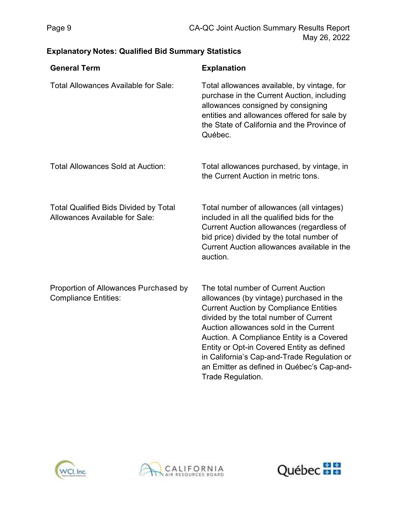## Explanatory Notes: Qualified Bid Summary Statistics

| <b>General Term</b>                                                            | <b>Explanation</b>                                                                                                                                                                                                                                                                                                                                                                                                                |
|--------------------------------------------------------------------------------|-----------------------------------------------------------------------------------------------------------------------------------------------------------------------------------------------------------------------------------------------------------------------------------------------------------------------------------------------------------------------------------------------------------------------------------|
| <b>Total Allowances Available for Sale:</b>                                    | Total allowances available, by vintage, for<br>purchase in the Current Auction, including<br>allowances consigned by consigning<br>entities and allowances offered for sale by<br>the State of California and the Province of<br>Québec.                                                                                                                                                                                          |
| <b>Total Allowances Sold at Auction:</b>                                       | Total allowances purchased, by vintage, in<br>the Current Auction in metric tons.                                                                                                                                                                                                                                                                                                                                                 |
| <b>Total Qualified Bids Divided by Total</b><br>Allowances Available for Sale: | Total number of allowances (all vintages)<br>included in all the qualified bids for the<br>Current Auction allowances (regardless of<br>bid price) divided by the total number of<br>Current Auction allowances available in the<br>auction.                                                                                                                                                                                      |
| Proportion of Allowances Purchased by<br><b>Compliance Entities:</b>           | The total number of Current Auction<br>allowances (by vintage) purchased in the<br><b>Current Auction by Compliance Entities</b><br>divided by the total number of Current<br>Auction allowances sold in the Current<br>Auction. A Compliance Entity is a Covered<br>Entity or Opt-in Covered Entity as defined<br>in California's Cap-and-Trade Regulation or<br>an Emitter as defined in Québec's Cap-and-<br>Trade Regulation. |





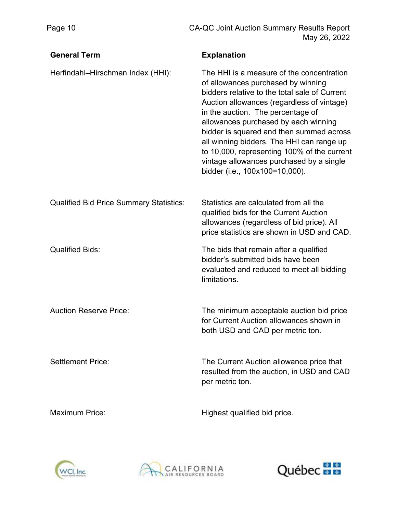| <b>General Term</b>                            | <b>Explanation</b>                                                                                                                                                                                                                                                                                                                                                                                                                                                                |
|------------------------------------------------|-----------------------------------------------------------------------------------------------------------------------------------------------------------------------------------------------------------------------------------------------------------------------------------------------------------------------------------------------------------------------------------------------------------------------------------------------------------------------------------|
| Herfindahl-Hirschman Index (HHI):              | The HHI is a measure of the concentration<br>of allowances purchased by winning<br>bidders relative to the total sale of Current<br>Auction allowances (regardless of vintage)<br>in the auction. The percentage of<br>allowances purchased by each winning<br>bidder is squared and then summed across<br>all winning bidders. The HHI can range up<br>to 10,000, representing 100% of the current<br>vintage allowances purchased by a single<br>bidder (i.e., 100x100=10,000). |
| <b>Qualified Bid Price Summary Statistics:</b> | Statistics are calculated from all the<br>qualified bids for the Current Auction<br>allowances (regardless of bid price). All<br>price statistics are shown in USD and CAD.                                                                                                                                                                                                                                                                                                       |
| <b>Qualified Bids:</b>                         | The bids that remain after a qualified<br>bidder's submitted bids have been<br>evaluated and reduced to meet all bidding<br>limitations.                                                                                                                                                                                                                                                                                                                                          |
| <b>Auction Reserve Price:</b>                  | The minimum acceptable auction bid price<br>for Current Auction allowances shown in<br>both USD and CAD per metric ton.                                                                                                                                                                                                                                                                                                                                                           |
| <b>Settlement Price:</b>                       | The Current Auction allowance price that<br>resulted from the auction, in USD and CAD<br>per metric ton.                                                                                                                                                                                                                                                                                                                                                                          |
| <b>Maximum Price:</b>                          | Highest qualified bid price.                                                                                                                                                                                                                                                                                                                                                                                                                                                      |